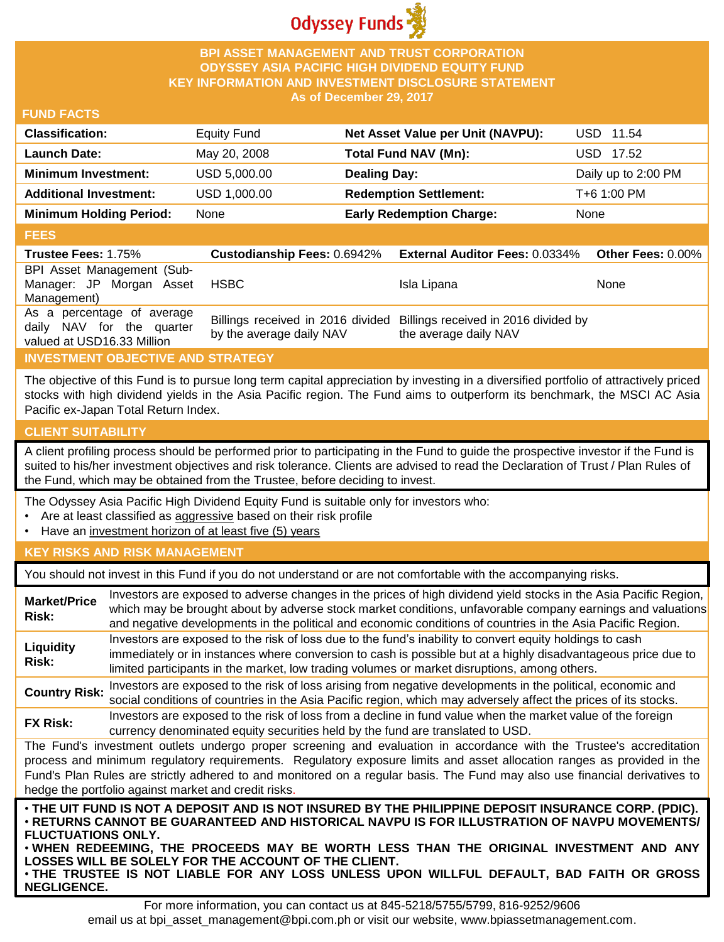

### **BPI ASSET MANAGEMENT AND TRUST CORPORATION ODYSSEY ASIA PACIFIC HIGH DIVIDEND EQUITY FUND KEY INFORMATION AND INVESTMENT DISCLOSURE STATEMENT As of December 29, 2017**

#### **FUND FACTS**

| <b>Classification:</b>         | Equity Fund  | Net Asset Value per Unit (NAVPU): | USD 11.54           |
|--------------------------------|--------------|-----------------------------------|---------------------|
| <b>Launch Date:</b>            | May 20, 2008 | Total Fund NAV (Mn):              | USD 17.52           |
| <b>Minimum Investment:</b>     | USD 5,000.00 | <b>Dealing Day:</b>               | Daily up to 2:00 PM |
| <b>Additional Investment:</b>  | USD 1,000.00 | <b>Redemption Settlement:</b>     | T+6 1:00 PM         |
| <b>Minimum Holding Period:</b> | None         | <b>Early Redemption Charge:</b>   | None                |

#### **FEES**

| -----                      |                          |                                                                        |                          |
|----------------------------|--------------------------|------------------------------------------------------------------------|--------------------------|
| <b>Trustee Fees: 1.75%</b> |                          | Custodianship Fees: 0.6942% External Auditor Fees: 0.0334%             | <b>Other Fees: 0.00%</b> |
| BPI Asset Management (Sub- |                          |                                                                        |                          |
| Manager: JP Morgan Asset   | <b>HSBC</b>              | Isla Lipana                                                            | <b>None</b>              |
| Management)                |                          |                                                                        |                          |
| As a percentage of average |                          | Billings received in 2016 divided Billings received in 2016 divided by |                          |
| daily NAV for the quarter  | by the average daily NAV | the average daily NAV                                                  |                          |
| valued at USD16.33 Million |                          |                                                                        |                          |

## **INVESTMENT OBJECTIVE AND STRATEGY**

The objective of this Fund is to pursue long term capital appreciation by investing in a diversified portfolio of attractively priced stocks with high dividend yields in the Asia Pacific region. The Fund aims to outperform its benchmark, the MSCI AC Asia Pacific ex-Japan Total Return Index.

## **CLIENT SUITABILITY**

**NEGLIGENCE.**

A client profiling process should be performed prior to participating in the Fund to guide the prospective investor if the Fund is suited to his/her investment objectives and risk tolerance. Clients are advised to read the Declaration of Trust / Plan Rules of the Fund, which may be obtained from the Trustee, before deciding to invest.

The Odyssey Asia Pacific High Dividend Equity Fund is suitable only for investors who:

- Are at least classified as aggressive based on their risk profile
- Have an investment horizon of at least five (5) years

## **KEY RISKS AND RISK MANAGEMENT**

You should not invest in this Fund if you do not understand or are not comfortable with the accompanying risks.

| <b>Market/Price</b><br>Risk:                                                                                                                                                                                                                                                                                                                                                                                                                                                  | Investors are exposed to adverse changes in the prices of high dividend yield stocks in the Asia Pacific Region,<br>which may be brought about by adverse stock market conditions, unfavorable company earnings and valuations<br>and negative developments in the political and economic conditions of countries in the Asia Pacific Region. |  |  |
|-------------------------------------------------------------------------------------------------------------------------------------------------------------------------------------------------------------------------------------------------------------------------------------------------------------------------------------------------------------------------------------------------------------------------------------------------------------------------------|-----------------------------------------------------------------------------------------------------------------------------------------------------------------------------------------------------------------------------------------------------------------------------------------------------------------------------------------------|--|--|
| Liquidity<br>Risk:                                                                                                                                                                                                                                                                                                                                                                                                                                                            | Investors are exposed to the risk of loss due to the fund's inability to convert equity holdings to cash<br>immediately or in instances where conversion to cash is possible but at a highly disadvantageous price due to<br>limited participants in the market, low trading volumes or market disruptions, among others.                     |  |  |
| <b>Country Risk:</b>                                                                                                                                                                                                                                                                                                                                                                                                                                                          | Investors are exposed to the risk of loss arising from negative developments in the political, economic and<br>social conditions of countries in the Asia Pacific region, which may adversely affect the prices of its stocks.                                                                                                                |  |  |
| <b>FX Risk:</b>                                                                                                                                                                                                                                                                                                                                                                                                                                                               | Investors are exposed to the risk of loss from a decline in fund value when the market value of the foreign<br>currency denominated equity securities held by the fund are translated to USD.                                                                                                                                                 |  |  |
| The Fund's investment outlets undergo proper screening and evaluation in accordance with the Trustee's accreditation<br>process and minimum regulatory requirements. Regulatory exposure limits and asset allocation ranges as provided in the<br>Fund's Plan Rules are strictly adhered to and monitored on a regular basis. The Fund may also use financial derivatives to<br>hedge the portfolio against market and credit risks.                                          |                                                                                                                                                                                                                                                                                                                                               |  |  |
| . THE UIT FUND IS NOT A DEPOSIT AND IS NOT INSURED BY THE PHILIPPINE DEPOSIT INSURANCE CORP. (PDIC).<br>· RETURNS CANNOT BE GUARANTEED AND HISTORICAL NAVPU IS FOR ILLUSTRATION OF NAVPU MOVEMENTS/<br><b>FLUCTUATIONS ONLY.</b><br>. WHEN REDEEMING, THE PROCEEDS MAY BE WORTH LESS THAN THE ORIGINAL INVESTMENT AND ANY<br>LOSSES WILL BE SOLELY FOR THE ACCOUNT OF THE CLIENT.<br>. THE TRUSTEE IS NOT LIABLE FOR ANY LOSS UNLESS UPON WILLFUL DEFAULT, BAD FAITH OR GROSS |                                                                                                                                                                                                                                                                                                                                               |  |  |

For more information, you can contact us at 845-5218/5755/5799, 816-9252/9606 email us at bpi\_asset\_management@bpi.com.ph or visit our website, www.bpiassetmanagement.com.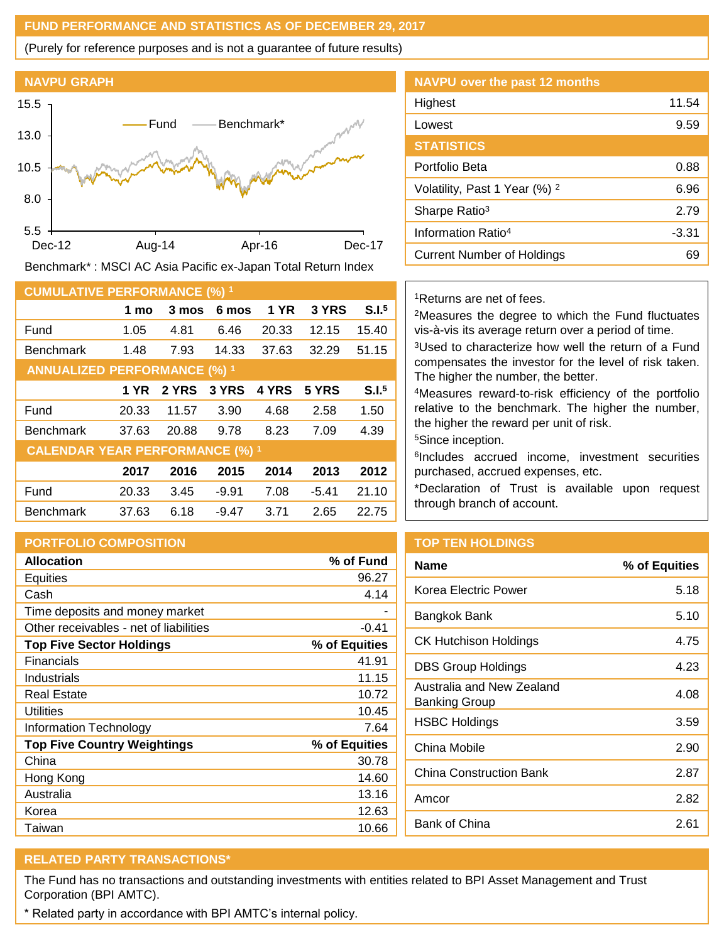#### **FUND PERFORMANCE AND STATISTICS AS OF DECEMBER 29, 2017**

(Purely for reference purposes and is not a guarantee of future results)



Benchmark\* : MSCI AC Asia Pacific ex-Japan Total Return Index

| <b>CUMULATIVE PERFORMANCE (%) 1</b>    |       |       |         |             |         |                   |
|----------------------------------------|-------|-------|---------|-------------|---------|-------------------|
|                                        | 1 mo  | 3 mos | 6 mos   | <b>1 YR</b> | 3 YRS   | S.I. <sup>5</sup> |
| Fund                                   | 1.05  | 4.81  | 6.46    | 20.33       | 12.15   | 15.40             |
| <b>Benchmark</b>                       | 1.48  | 7.93  | 14.33   | 37.63       | 32.29   | 51.15             |
| <b>ANNUALIZED PERFORMANCE (%) 1</b>    |       |       |         |             |         |                   |
|                                        | 1 YR  | 2 YRS | 3 YRS   | 4 YRS       | 5 YRS   | S.I. <sup>5</sup> |
| Fund                                   | 20.33 | 11.57 | 3.90    | 4.68        | 2.58    | 1.50              |
| <b>Benchmark</b>                       | 37.63 | 20.88 | 9.78    | 8.23        | 7.09    | 4.39              |
| <b>CALENDAR YEAR PERFORMANCE (%) 1</b> |       |       |         |             |         |                   |
|                                        | 2017  | 2016  | 2015    | 2014        | 2013    | 2012              |
| Fund                                   | 20.33 | 3.45  | $-9.91$ | 7.08        | $-5.41$ | 21.10             |
| <b>Benchmark</b>                       | 37.63 | 6.18  | $-9.47$ | 3.71        | 2.65    | 22.75             |

## **PORTFOLIO COMPOSITION**

| <b>Allocation</b>                      | % of Fund     |
|----------------------------------------|---------------|
| Equities                               | 96.27         |
| Cash                                   | 4.14          |
| Time deposits and money market         |               |
| Other receivables - net of liabilities | $-0.41$       |
| <b>Top Five Sector Holdings</b>        | % of Equities |
| <b>Financials</b>                      | 41.91         |
| Industrials                            | 11.15         |
| Real Estate                            | 10.72         |
| Utilities                              | 10.45         |
| <b>Information Technology</b>          | 7.64          |
| <b>Top Five Country Weightings</b>     | % of Equities |
| China                                  | 30.78         |
| Hong Kong                              | 14.60         |
| Australia                              | 13.16         |
| Korea                                  | 12.63         |
| Taiwan                                 | 10.66         |

| <b>NAVPU over the past 12 months</b>     |       |
|------------------------------------------|-------|
| Highest                                  | 11.54 |
| Lowest                                   | 9.59  |
| <b>STATISTICS</b>                        |       |
| Portfolio Beta                           | 0.88  |
| Volatility, Past 1 Year (%) <sup>2</sup> | 6.96  |
| Sharpe Ratio <sup>3</sup>                | 2.79  |
| Information Ratio <sup>4</sup>           | -3.31 |
| <b>Current Number of Holdings</b>        | 69    |
|                                          |       |

### <sup>1</sup>Returns are net of fees.

<sup>2</sup>Measures the degree to which the Fund fluctuates vis-à-vis its average return over a period of time.

<sup>3</sup>Used to characterize how well the return of a Fund compensates the investor for the level of risk taken. The higher the number, the better.

<sup>4</sup>Measures reward-to-risk efficiency of the portfolio relative to the benchmark. The higher the number, the higher the reward per unit of risk.

<sup>5</sup>Since inception.

6 Includes accrued income, investment securities purchased, accrued expenses, etc.

\*Declaration of Trust is available upon request through branch of account.

# **TOP TEN HOLDINGS**

| <b>Name</b>                                | % of Equities |
|--------------------------------------------|---------------|
| Korea Electric Power                       | 5.18          |
| Bangkok Bank                               | 5.10          |
| CK Hutchison Holdings                      | 4.75          |
| <b>DBS Group Holdings</b>                  | 4.23          |
| Australia and New Zealand<br>Banking Group | 4.08          |
| <b>HSBC Holdings</b>                       | 3.59          |
| China Mobile                               | 2.90          |
| <b>China Construction Bank</b>             | 2.87          |
| Amcor                                      | 2.82          |
| Bank of China                              | 2.61          |
|                                            |               |

## **RELATED PARTY TRANSACTIONS\***

The Fund has no transactions and outstanding investments with entities related to BPI Asset Management and Trust Corporation (BPI AMTC).

\* Related party in accordance with BPI AMTC's internal policy.